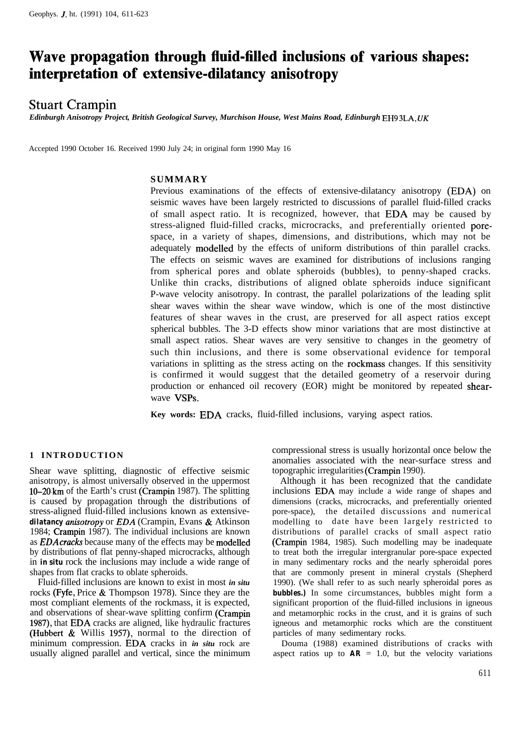# **Wave propagation through fluid-filled inclusions of various shapes: interpretation of extensive-dilatancy anisotropy**

# Stuart Crampin

*Edinburgh Anisotropy Project, British Geological Survey, Murchison House, West Mains Road, Edinburgh EH9 3LA, UK*

Accepted 1990 October 16. Received 1990 July 24; in original form 1990 May 16

# **SUMMARY**

Previous examinations of the effects of extensive-dilatancy anisotropy (EDA) on seismic waves have been largely restricted to discussions of parallel fluid-filled cracks of small aspect ratio. It is recognized, however, that EDA may be caused by stress-aligned fluid-filled cracks, microcracks, and preferentially oriented porespace, in a variety of shapes, dimensions, and distributions, which may not be adequately modelled by the effects of uniform distributions of thin parallel cracks. The effects on seismic waves are examined for distributions of inclusions ranging from spherical pores and oblate spheroids (bubbles), to penny-shaped cracks. Unlike thin cracks, distributions of aligned oblate spheroids induce significant P-wave velocity anisotropy. In contrast, the parallel polarizations of the leading split shear waves within the shear wave window, which is one of the most distinctive features of shear waves in the crust, are preserved for all aspect ratios except spherical bubbles. The 3-D effects show minor variations that are most distinctive at small aspect ratios. Shear waves are very sensitive to changes in the geometry of such thin inclusions, and there is some observational evidence for temporal variations in splitting as the stress acting on the rockmass changes. If this sensitivity is confirmed it would suggest that the detailed geometry of a reservoir during production or enhanced oil recovery (EOR) might be monitored by repeated shearwave VSPs.

**Key words:** EDA cracks, fluid-filled inclusions, varying aspect ratios.

# **1 INTRODUCTION**

Shear wave splitting, diagnostic of effective seismic anisotropy, is almost universally observed in the uppermost lO-20,km of the Earth's crust (Crampin 1987). The splitting is caused by propagation through the distributions of stress-aligned fluid-filled inclusions known as extensive*dilatancy antiotropy* or *EDA* (Crampin, Evans & Atkinson 1984; Crampin 1987). The individual inclusions are known as *EDA* cracks because many of the effects may be modelled by distributions of flat penny-shaped microcracks, although in *in situ* rock the inclusions may include a wide range of shapes from flat cracks to oblate spheroids.

Fluid-filled inclusions are known to exist in most *in situ* rocks (Fyfe, Price & Thompson 1978). Since they are the most compliant elements of the rockmass, it is expected, and observations of shear-wave splitting confirm (Crampin 1987), that EDA cracks are aligned, like hydraulic fractures (Hubbert & Willis 1957), normal to the direction of minimum compression. EDA cracks in *in situ* rock are usually aligned parallel and vertical, since the minimum

compressional stress is usually horizontal once below the anomalies associated with the near-surface stress and topographic irregularities (Crampin 1990).

Although it has been recognized that the candidate inclusions EDA may include a wide range of shapes and dimensions (cracks, microcracks, and preferentially oriented pore-space), the detailed discussions and numerical modelling to date have been largely restricted to distributions of parallel cracks of small aspect ratio (Crampin 1984, 1985). Such modelling may be inadequate to treat both the irregular intergranular pore-space expected in many sedimentary rocks and the nearly spheroidal pores that are commonly present in mineral crystals (Shepherd 1990). (We shall refer to as such nearly spheroidal pores as **bubbles.)** In some circumstances, bubbles might form a significant proportion of the fluid-filled inclusions in igneous and metamorphic rocks in the crust, and it is grains of such igneous and metamorphic rocks which are the constituent particles of many sedimentary rocks.

Douma (1988) examined distributions of cracks with aspect ratios up to  $AR = 1.0$ , but the velocity variations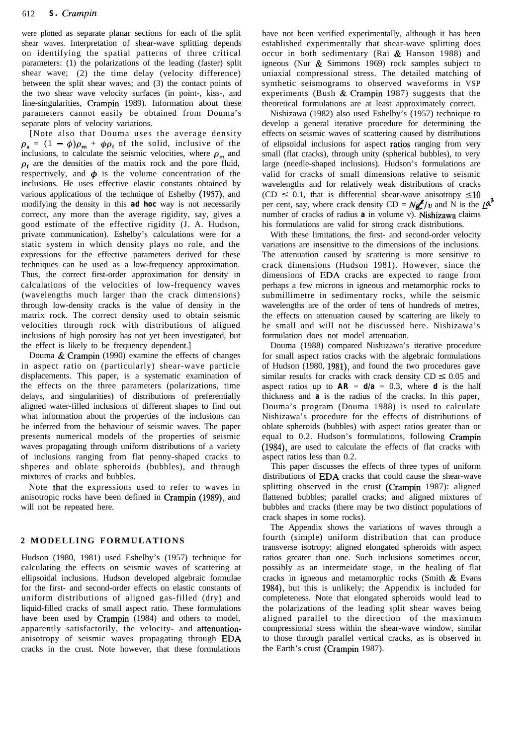were plotted as separate planar sections for each of the split shear waves. Interpretation of shear-wave splitting depends on identifying the spatial patterns of three critical parameters: (1) the polarizations of the leading (faster) split shear wave; (2) the time delay (velocity difference) between the split shear waves; and (3) the contact points of the two shear wave velocity surfaces (in point-, kiss-, and line-singularities, Crampin 1989). Information about these parameters cannot easily be obtained from Douma's separate plots of velocity variations.

[Note also that Douma uses the average density  $\rho_a = (1 - \phi)\rho_m + \phi\rho_f$  of the solid, inclusive of the inclusions, to calculate the seismic velocities, where  $\rho_m$  and  $\rho_f$  are the densities of the matrix rock and the pore fluid, respectively, and  $\phi$  is the volume concentration of the inclusions. He uses effective elastic constants obtained by various applications of the technique of Eshelby (1957), and modifying the density in this *ad hoc* way is not necessarily correct, any more than the average rigidity, say, gives a good estimate of the effective rigidity (J. A. Hudson, private communication). Eshelby's calculations were for a static system in which density plays no role, and the expressions for the effective parameters derived for these techniques can be used as a low-frequency approximation. Thus, the correct first-order approximation for density in calculations of the velocities of low-frequency waves (wavelengths much larger than the crack dimensions) through low-density cracks is the value of density in the matrix rock. The correct density used to obtain seismic velocities through rock with distributions of aligned inclusions of high porosity has not yet been investigated, but the effect is likely to be frequency dependent.]

Douma & Crampin (1990) examine the effects of changes in aspect ratio on (particularly) shear-wave particle displacements. This paper, is a systematic examination of the effects on the three parameters (polarizations, time delays, and singularities) of distributions of preferentially aligned water-filled inclusions of different shapes to find out what information about the properties of the inclusions can be inferred from the behaviour of seismic waves. The paper presents numerical models of the properties of seismic waves propagating through uniform distributions of a variety of inclusions ranging from flat penny-shaped cracks to shperes and oblate spheroids (bubbles), and through mixtures of cracks and bubbles.

Note that the expressions used to refer to waves in anisotropic rocks have been defined in Crampin (1989), and will not be repeated here.

# **2 MODELLING FORMULATIONS**

Hudson (1980, 1981) used Eshelby's (1957) technique for calculating the effects on seismic waves of scattering at ellipsoidal inclusions. Hudson developed algebraic formulae for the first- and second-order effects on elastic constants of uniform distributions of aligned gas-filled (dry) and liquid-filled cracks of small aspect ratio. These formulations have been used by Crampin (1984) and others to model, apparently satisfactorily, the velocity- and attenuationanisotropy of seismic waves propagating through EDA cracks in the crust. Note however, that these formulations

have not been verified experimentally, although it has been established experimentally that shear-wave splitting does occur in both sedimentary (Rai  $&$  Hanson 1988) and igneous (Nur & Simmons 1969) rock samples subject to uniaxial compressional stress. The detailed matching of synthetic seismograms to observed waveforms in VSP experiments (Bush  $&$  Crampin 1987) suggests that the theoretical formulations are at least approximately correct.

Nishizawa (1982) also used Eshelby's (1957) technique to develop a general iterative procedure for determining the effects on seismic waves of scattering caused by distributions of elipsoidal inclusions for aspect ratios ranging from very small (flat cracks), through unity (spherical bubbles), to very large (needle-shaped inclusions). Hudson's formulations are valid for cracks of small dimensions relative to seismic wavelengths and for relatively weak distributions of cracks (CD  $\leq$  0.1, that is differential shear-wave anisotropy  $\leq 10$ per cent, say, where crack density CD =  $N\cancel{\ell}^2/v$  and N is the  $\cancel{\ell}^3$ number of cracks of radius *a* in volume v). Nishizawa claims his formulations are valid for strong crack distributions.

With these limitations, the first- and second-order velocity variations are insensitive to the dimensions of the inclusions. The attenuation caused by scattering is more sensitive to crack dimensions (Hudson 1981). However, since the dimensions of EDA cracks are expected to range from perhaps a few microns in igneous and metamorphic rocks to submillimetre in sedimentary rocks, while the seismic wavelengths are of the order of tens of hundreds of metres, the effects on attenuation caused by scattering are likely to be small and will not be discussed here. Nishizawa's formulation does not model attenuation.

Douma (1988) compared Nishizawa's iterative procedure for small aspect ratios cracks with the algebraic formulations of Hudson (1980, 1981), and found the two procedures gave similar results for cracks with crack density  $CD \leq 0.05$  and aspect ratios up to  $AR = d/a = 0.3$ , where *d* is the half thickness and *a* is the radius of the cracks. In this paper, Douma's program (Douma 1988) is used to calculate Nishizawa's procedure for the effects of distributions of oblate spheroids (bubbles) with aspect ratios greater than or equal to 0.2. Hudson's formulations, following Crampin (1984), are used to calculate the effects of flat cracks with aspect ratios less than 0.2.

This paper discusses the effects of three types of uniform distributions of EDA cracks that could cause the shear-wave splitting observed in the crust (Crampin 1987): aligned flattened bubbles; parallel cracks; and aligned mixtures of bubbles and cracks (there may be two distinct populations of crack shapes in some rocks).

The Appendix shows the variations of waves through a fourth (simple) uniform distribution that can produce transverse isotropy: aligned elongated spheroids with aspect ratios greater than one. Such inclusions sometimes occur, possibly as an intermeidate stage, in the healing of flat cracks in igneous and metamorphic rocks (Smith & Evans 1984), but this is unlikely; the Appendix is included for completeness. Note that elongated spheroids would lead to the polarizations of the leading split shear waves being aligned parallel to the direction of the maximum compressional stress within the shear-wave window, similar to those through parallel vertical cracks, as is observed in the Earth's crust (Crampin 1987).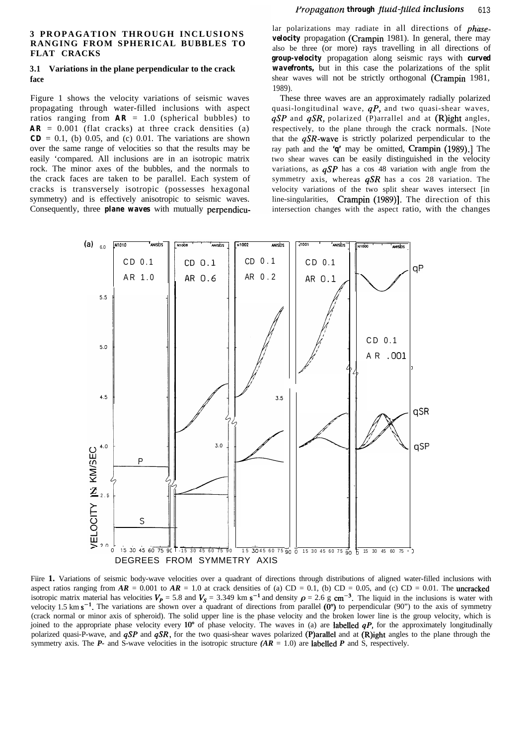#### **3 PROPAGATION THROUGH INCLUSIONS RANGING FROM SPHERICAL BUBBLES TO FLAT CRACKS**

#### **3.1 Variations in the plane perpendicular to the crack face**

Figure 1 shows the velocity variations of seismic waves propagating through water-filled inclusions with aspect ratios ranging from  $AR = 1.0$  (spherical bubbles) to  $AR = 0.001$  (flat cracks) at three crack densities (a)  $CD = 0.1$ , (b) 0.05, and (c) 0.01. The variations are shown over the same range of velocities so that the results may be easily 'compared. All inclusions are in an isotropic matrix rock. The minor axes of the bubbles, and the normals to the crack faces are taken to be parallel. Each system of cracks is transversely isotropic (possesses hexagonal symmetry) and is effectively anisotropic to seismic waves. Consequently, three *plane waves* with mutually perpendicu-

lar polarizations may radiate in all directions of *phasevelocity* propagation (Crampin 1981). In general, there may also be three (or more) rays travelling in all directions of *group-velocity* propagation along seismic rays with *curved wavefronts,* but in this case the polarizations of the split shear waves will not be strictly orthogonal (Crampin 1981, 1989).

These three waves are an approximately radially polarized quasi-longitudinal wave,  $qP$ , and two quasi-shear waves, qSP and *qSR,* polarized (P)arrallel and at (R)ight angles, respectively, to the plane through the crack normals. [Note that the *qSR-wave* is strictly polarized perpendicular to the ray path and the *'q'* may be omitted, Crampin (1989).] The two shear waves can be easily distinguished in the velocity variations, as  $qSP$  has a cos 48 variation with angle from the symmetry axis, whereas *qSR* has a cos 28 variation. The velocity variations of the two split shear waves intersect [in line-singularities, Crampin (1989)]. The direction of this intersection changes with the aspect ratio, with the changes



Fiire 1. Variations of seismic body-wave velocities over a quadrant of directions through distributions of aligned water-filled inclusions with aspect ratios ranging from  $AR = 0.001$  to  $AR = 1.0$  at crack densities of (a) CD = 0.1, (b) CD = 0.05, and (c) CD = 0.01. The uncracked isotropic matrix material has velocities  $V_p = 5.8$  and  $V_s = 3.349$  km s<sup>-1</sup> and density  $\rho = 2.6$  g cm<sup>-3</sup>. The liquid in the inclusions is water with velocity 1.5 km  $s^{-1}$ . The variations are shown over a quadrant of directions from parallel  $(0^{\circ})$  to perpendicular (90") to the axis of symmetry (crack normal or minor axis of spheroid). The solid upper line is the phase velocity and the broken lower line is the group velocity, which is joined to the appropriate phase velocity every  $10^{\circ}$  of phase velocity. The waves in (a) are labelled *qP*, for the approximately longitudinally polarized quasi-P-wave, and *qSP* and *qSR,* for the two quasi-shear waves polarized (P)arallel and at (R)ight angles to the plane through the symmetry axis. The  $P$ - and S-wave velocities in the isotropic structure  $(AR = 1.0)$  are labelled  $P$  and S, respectively.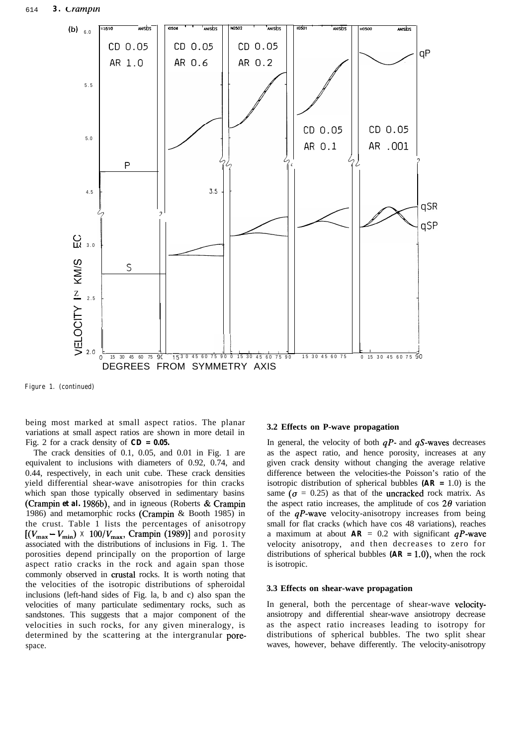

**Figure 1. (continued)**

being most marked at small aspect ratios. The planar variations at small aspect ratios are shown in more detail in Fig. 2 for a crack density of *CD = 0.05.*

The crack densities of 0.1, 0.05, and 0.01 in Fig. 1 are equivalent to inclusions with diameters of 0.92, 0.74, and 0.44, respectively, in each unit cube. These crack densities yield differential shear-wave anisotropies for thin cracks which span those typically observed in sedimentary basins (Crampin *et al.* 1986b), and in igneous (Roberts & Crampin 1986) and metamorphic rocks (Crampin & Booth 1985) in the crust. Table 1 lists the percentages of anisotropy  $[(V_{\text{max}} - V_{\text{min}}) \times 100/V_{\text{max}}$ , Crampin (1989)] and porosity associated with the distributions of inclusions in Fig. 1. The porosities depend principally on the proportion of large aspect ratio cracks in the rock and again span those commonly observed in crustal rocks. It is worth noting that the velocities of the isotropic distributions of spheroidal inclusions (left-hand sides of Fig. la, b and c) also span the velocities of many particulate sedimentary rocks, such as sandstones. This suggests that a major component of the velocities in such rocks, for any given mineralogy, is determined by the scattering at the intergranular porespace.

#### **3.2 Effects on P-wave propagation**

In general, the velocity of both  $qP$ - and  $qS$ -waves decreases as the aspect ratio, and hence porosity, increases at any given crack density without changing the average relative difference between the velocities-the Poisson's ratio of the isotropic distribution of spherical bubbles *(AR =* 1.0) is the same ( $\sigma = 0.25$ ) as that of the uncracked rock matrix. As the aspect ratio increases, the amplitude of cos  $2\theta$  variation of the  $qP$ -wave velocity-anisotropy increases from being small for flat cracks (which have cos 48 variations), reaches a maximum at about  $AR = 0.2$  with significant  $qP$ -wave velocity anisotropy, and then decreases to zero for distributions of spherical bubbles  $(AR = 1.0)$ , when the rock is isotropic.

#### **3.3 Effects on shear-wave propagation**

In general, both the percentage of shear-wave velocityansiotropy and differential shear-wave ansiotropy decrease as the aspect ratio increases leading to isotropy for distributions of spherical bubbles. The two split shear waves, however, behave differently. The velocity-anisotropy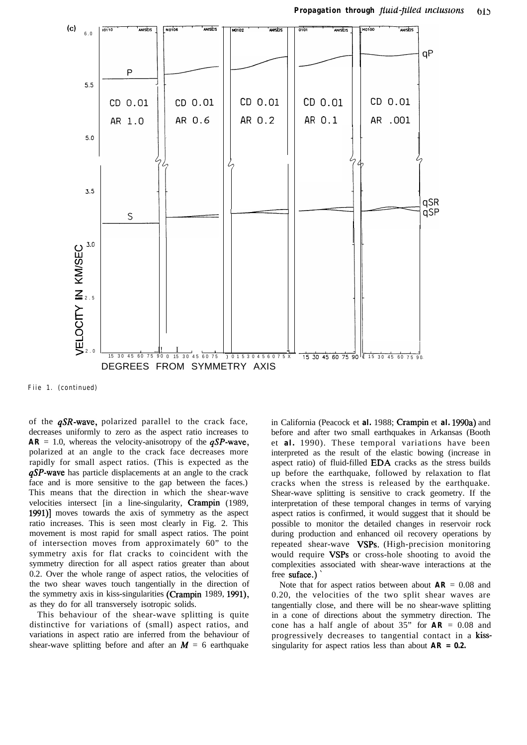

**Fiie 1. (continued)**

of the  $qSR$ -wave, polarized parallel to the crack face, decreases uniformly to zero as the aspect ratio increases to  $AR = 1.0$ , whereas the velocity-anisotropy of the  $qSP$ -wave, polarized at an angle to the crack face decreases more rapidly for small aspect ratios. (This is expected as the  $qSP$ -wave has particle displacements at an angle to the crack face and is more sensitive to the gap between the faces.) This means that the direction in which the shear-wave velocities intersect [in a line-singularity, Crampin (1989, 1991)] moves towards the axis of symmetry as the aspect ratio increases. This is seen most clearly in Fig. 2. This movement is most rapid for small aspect ratios. The point of intersection moves from approximately 60" to the symmetry axis for flat cracks to coincident with the symmetry direction for all aspect ratios greater than about 0.2. Over the whole range of aspect ratios, the velocities of the two shear waves touch tangentially in the direction of the symmetry axis in kiss-singularities (Crampin 1989, 1991), as they do for all transversely isotropic solids.

This behaviour of the shear-wave splitting is quite distinctive for variations of (small) aspect ratios, and variations in aspect ratio are inferred from the behaviour of shear-wave splitting before and after an  $M = 6$  earthquake

in California (Peacock et *al.* 1988; Crampin et *al.* 1990a) and before and after two small earthquakes in Arkansas (Booth et *al.* 1990). These temporal variations have been interpreted as the result of the elastic bowing (increase in aspect ratio) of fluid-filled EDA cracks as the stress builds up before the earthquake, followed by relaxation to flat cracks when the stress is released by the earthquake. Shear-wave splitting is sensitive to crack geometry. If the interpretation of these temporal changes in terms of varying aspect ratios is confirmed, it would suggest that it should be possible to monitor the detailed changes in reservoir rock during production and enhanced oil recovery operations by repeated shear-wave VSPs. (High-precision monitoring would require VSPs or cross-hole shooting to avoid the complexities associated with shear-wave interactions at the free suface.)

Note that for aspect ratios between about  $AR = 0.08$  and 0.20, the velocities of the two split shear waves are tangentially close, and there will be no shear-wave splitting in a cone of directions about the symmetry direction. The cone has a half angle of about  $35$ " for  $AR = 0.08$  and progressively decreases to tangential contact in a kisssingularity for aspect ratios less than about *AR = 0.2.*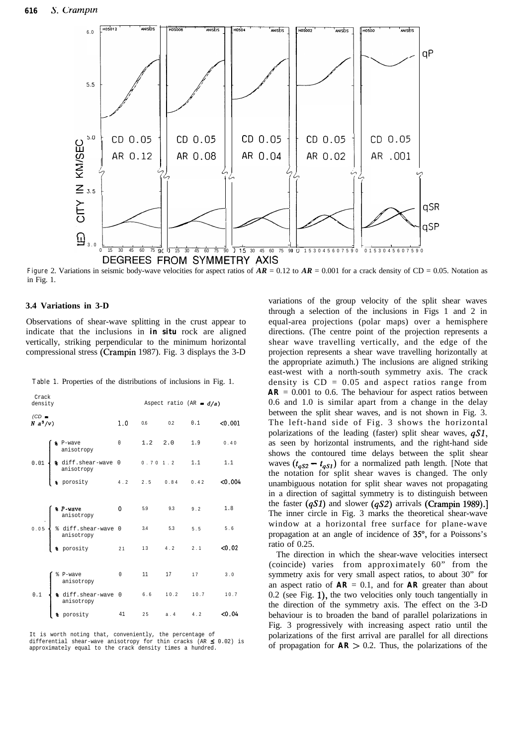

**Figure** 2. Variations in seismic body-wave velocities for aspect ratios of  $AR = 0.12$  to  $AR = 0.001$  for a crack density of CD = 0.05. Notation as in Fig. 1.

#### **3.4 Variations in 3-D**

Observations of shear-wave splitting in the crust appear to indicate that the inclusions in *in situ* rock are aligned vertically, striking perpendicular to the minimum horizontal compressional stress (Crampin 1987). Fig. 3 displays the 3-D

|  |  |  |  |  | <b>Table 1.</b> Properties of the distributions of inclusions in Fig. 1. |  |  |  |  |  |
|--|--|--|--|--|--------------------------------------------------------------------------|--|--|--|--|--|
|--|--|--|--|--|--------------------------------------------------------------------------|--|--|--|--|--|

| Crack<br>density     |                                                                                                                                                                                                                                                                                                                                                                                                                                          |  | Aspect ratio (AR = $d/a$ ) |  |                          |  |  |  |
|----------------------|------------------------------------------------------------------------------------------------------------------------------------------------------------------------------------------------------------------------------------------------------------------------------------------------------------------------------------------------------------------------------------------------------------------------------------------|--|----------------------------|--|--------------------------|--|--|--|
| $(CD =$<br>$N a^3/v$ |                                                                                                                                                                                                                                                                                                                                                                                                                                          |  |                            |  | 1.0 $0.6$ 0.2 0.1 <0.001 |  |  |  |
|                      |                                                                                                                                                                                                                                                                                                                                                                                                                                          |  |                            |  |                          |  |  |  |
|                      | $0.01 \begin{cases} \texttt{\$ \begin{array}{ l l } \texttt{\$ \begin{array}{ l l l } \texttt{\$}} \end{array}$ & & 0 & 1.2 & 2.0 & 1.9 & 0.40 \\ \text{anisotropy} \end{array}$ \\ 0.01 \begin{cases} \texttt{\$ \begin{array}{ l l l } \texttt{\$}} \end{array}$ & & 0.004 \\ \texttt{\$ \begin{array}{ l l l } \texttt{\$}} \end{array}$ & & 0.004 \\ \texttt{\$ \begin{array}{ l l l } \end{array}$ & & 0.004 \\ \texttt{\$ \begin{$ |  |                            |  |                          |  |  |  |
|                      |                                                                                                                                                                                                                                                                                                                                                                                                                                          |  |                            |  |                          |  |  |  |
|                      |                                                                                                                                                                                                                                                                                                                                                                                                                                          |  |                            |  |                          |  |  |  |
|                      |                                                                                                                                                                                                                                                                                                                                                                                                                                          |  |                            |  |                          |  |  |  |
|                      | <b>8 P-wave</b> 0 5.9 9.3 9.2 1.8<br>anisotropy<br>8 diff.shear-wave 0 3.4 5.3 5.5 5.6<br>anisotropy<br>8 porosity 21 13 4.2 2.1 <0.02                                                                                                                                                                                                                                                                                                   |  |                            |  |                          |  |  |  |
|                      |                                                                                                                                                                                                                                                                                                                                                                                                                                          |  |                            |  |                          |  |  |  |
|                      |                                                                                                                                                                                                                                                                                                                                                                                                                                          |  |                            |  |                          |  |  |  |
|                      |                                                                                                                                                                                                                                                                                                                                                                                                                                          |  |                            |  |                          |  |  |  |
|                      | $0.1 \begin{cases} \frac{8}{3} \text{ P-wave} & 0 & 11 & 17 & 17 & 3.0 \\ & \text{anisotropy} \\ \frac{8}{3} \text{ diff.shear-wave} & 0 & 6.6 & 10.2 & 10.7 & 10.7 \\ & \text{anisotropy} & 41 & 25 & a.4 & 4.2 & \text{<0.04} \\ \end{cases}$                                                                                                                                                                                          |  |                            |  |                          |  |  |  |
|                      |                                                                                                                                                                                                                                                                                                                                                                                                                                          |  |                            |  |                          |  |  |  |

It is worth noting that, conveniently, the percentage of differential shear-wave anisotropy for thin cracks (AR ≤ 0.02) is<br>approximately equal to the crack density times a hundred.

variations of the group velocity of the split shear waves through a selection of the inclusions in Figs 1 and 2 in equal-area projections (polar maps) over a hemisphere directions. (The centre point of the projection represents a shear wave travelling vertically, and the edge of the projection represents a shear wave travelling horizontally at the appropriate azimuth.) The inclusions are aligned striking east-west with a north-south symmetry axis. The crack density is  $CD = 0.05$  and aspect ratios range from  $AR = 0.001$  to 0.6. The behaviour for aspect ratios between 0.6 and 1.0 is similar apart from a change in the delay between the split shear waves, and is not shown in Fig. 3. The left-hand side of Fig. 3 shows the horizontal polarizations of the leading (faster) split shear waves,  $qS1$ , as seen by horizontal instruments, and the right-hand side shows the contoured time delays between the split shear waves  $(t_{\alpha S2} - t_{\alpha S1})$  for a normalized path length. [Note that the notation for split shear waves is changed. The only unambiguous notation for split shear waves not propagating in a direction of sagittal symmetry is to distinguish between the faster  $(qS1)$  and slower  $(qS2)$  arrivals (Crampin 1989).] The inner circle in Fig. 3 marks the theoretical shear-wave window at a horizontal free surface for plane-wave propagation at an angle of incidence of 35", for a Poissons's ratio of 0.25.

The direction in which the shear-wave velocities intersect (coincide) varies from approximately 60" from the symmetry axis for very small aspect ratios, to about 30" for an aspect ratio of  $AR = 0.1$ , and for  $AR$  greater than about 0.2 (see Fig. l), the two velocities only touch tangentially in the direction of the symmetry axis. The effect on the 3-D behaviour is to broaden the band of parallel polarizations in Fig. 3 progressively with increasing aspect ratio until the polarizations of the first arrival are parallel for all directions of propagation for  $AR > 0.2$ . Thus, the polarizations of the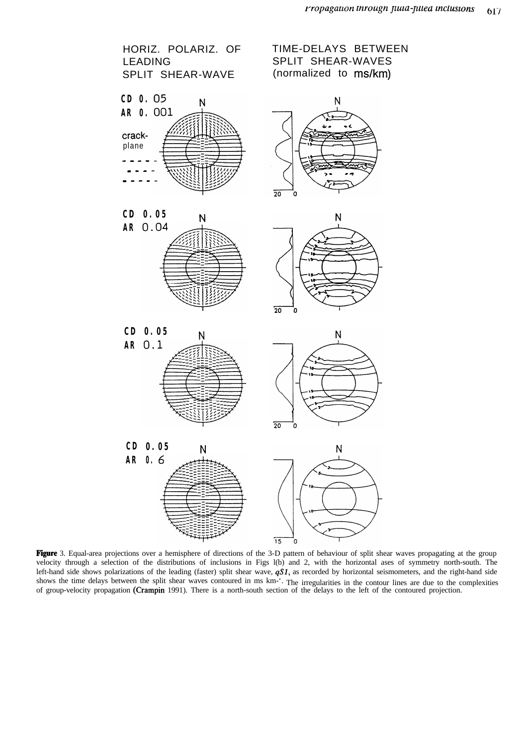

Figure 3. Equal-area projections over a hemisphere of directions of the 3-D pattern of behaviour of split shear waves propagating at the group velocity through a selection of the distributions of inclusions in Figs l(b) and 2, with the horizontal ases of symmetry north-south. The left-hand side shows polarizations of the leading (faster) split shear wave,  $qS1$ , as recorded by horizontal seismometers, and the right-hand side shows the time delays between the split shear waves contoured in ms km-'. The irregularities in the contour lines are due to the complexities of group-velocity propagation (Crampin 1991). There is a north-south section of the delays to the left of the contoured projection.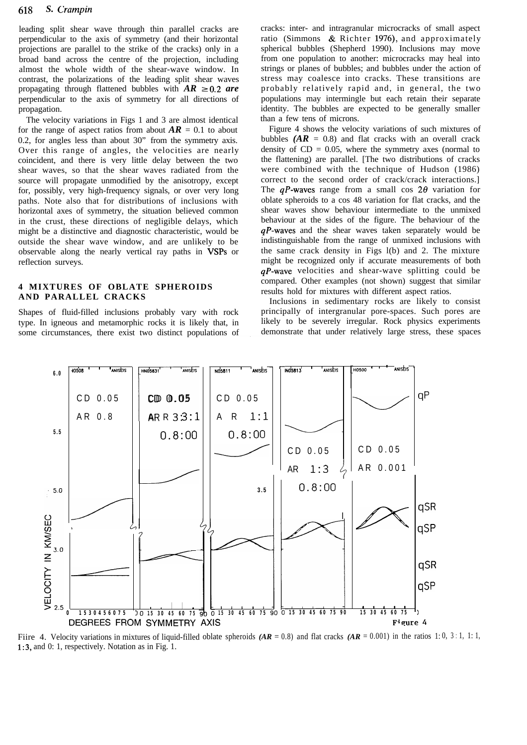leading split shear wave through thin parallel cracks are perpendicular to the axis of symmetry (and their horizontal projections are parallel to the strike of the cracks) only in a broad band across the centre of the projection, including almost the whole width of the shear-wave window. In contrast, the polarizations of the leading split shear waves propagating through flattened bubbles with  $AR \geq 0.2$  are perpendicular to the axis of symmetry for all directions of propagation.

The velocity variations in Figs 1 and 3 are almost identical for the range of aspect ratios from about  $AR = 0.1$  to about 0.2, for angles less than about 30" from the symmetry axis. Over this range of angles, the velocities are nearly coincident, and there is very little delay between the two shear waves, so that the shear waves radiated from the source will propagate unmodified by the anisotropy, except for, possibly, very high-frequency signals, or over very long paths. Note also that for distributions of inclusions with horizontal axes of symmetry, the situation believed common in the crust, these directions of negligible delays, which might be a distinctive and diagnostic characteristic, would be outside the shear wave window, and are unlikely to be observable along the nearly vertical ray paths in VSPs or reflection surveys.

# **4 MIXTURES OF OBLATE SPHEROIDS AND PARALLEL CRACKS**

Shapes of fluid-filled inclusions probably vary with rock type. In igneous and metamorphic rocks it is likely that, in some circumstances, there exist two distinct populations of cracks: inter- and intragranular microcracks of small aspect ratio (Simmons & Richter 1976), and approximately spherical bubbles (Shepherd 1990). Inclusions may move from one population to another: microcracks may heal into strings or planes of bubbles; and bubbles under the action of stress may coalesce into cracks. These transitions are probably relatively rapid and, in general, the two populations may intermingle but each retain their separate identity. The bubbles are expected to be generally smaller than a few tens of microns.

Figure 4 shows the velocity variations of such mixtures of bubbles  $(AR = 0.8)$  and flat cracks with an overall crack density of  $CD = 0.05$ , where the symmetry axes (normal to the flattening) are parallel. [The two distributions of cracks were combined with the technique of Hudson (1986) correct to the second order of crack/crack interactions.] The  $qP$ -waves range from a small cos  $2\theta$  variation for oblate spheroids to a cos 48 variation for flat cracks, and the shear waves show behaviour intermediate to the unmixed behaviour at the sides of the figure. The behaviour of the  $qP$ -waves and the shear waves taken separately would be indistinguishable from the range of unmixed inclusions with the same crack density in Figs l(b) and 2. The mixture might be recognized only if accurate measurements of both *qP-wave* velocities and shear-wave splitting could be compared. Other examples (not shown) suggest that similar results hold for mixtures with different aspect ratios.

Inclusions in sedimentary rocks are likely to consist principally of intergranular pore-spaces. Such pores are likely to be severely irregular. Rock physics experiments demonstrate that under relatively large stress, these spaces



Fiire 4. Velocity variations in mixtures of liquid-filled oblate spheroids  $(AR = 0.8)$  and flat cracks  $(AR = 0.001)$  in the ratios 1: 0, 3:1, 1:1, 1:3, and 0: 1, respectively. Notation as in Fig. 1.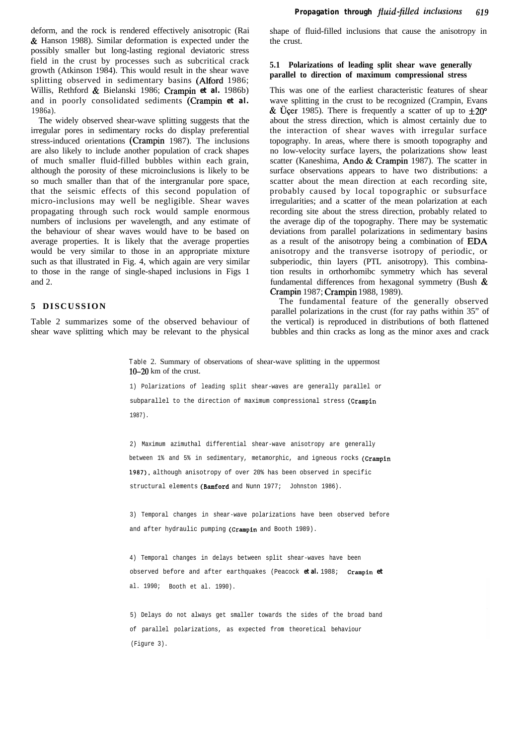deform, and the rock is rendered effectively anisotropic (Rai & Hanson 1988). Similar deformation is expected under the possibly smaller but long-lasting regional deviatoric stress field in the crust by processes such as subcritical crack growth (Atkinson 1984). This would result in the shear wave splitting observed in sedimentary basins (Alford 1986; Willis, Rethford & Bielanski 1986; Crampin *et al.* 1986b) and in poorly consolidated sediments (Crampin *et al.* 1986a).

The widely observed shear-wave splitting suggests that the irregular pores in sedimentary rocks do display preferential stress-induced orientations (Crampin 1987). The inclusions are also likely to include another population of crack shapes of much smaller fluid-filled bubbles within each grain, although the porosity of these microinclusions is likely to be so much smaller than that of the intergranular pore space, that the seismic effects of this second population of micro-inclusions may well be negligible. Shear waves propagating through such rock would sample enormous numbers of inclusions per wavelength, and any estimate of the behaviour of shear waves would have to be based on average properties. It is likely that the average properties would be very similar to those in an appropriate mixture such as that illustrated in Fig. 4, which again are very similar to those in the range of single-shaped inclusions in Figs 1 and 2.

#### **5 DISCUSSION**

Table 2 summarizes some of the observed behaviour of shear wave splitting which may be relevant to the physical shape of fluid-filled inclusions that cause the anisotropy in the crust.

#### **5.1 Polarizations of leading split shear wave generally parallel to direction of maximum compressional stress**

This was one of the earliest characteristic features of shear wave splitting in the crust to be recognized (Crampin, Evans & Üçer 1985). There is frequently a scatter of up to  $\pm 20^{\circ}$ about the stress direction, which is almost certainly due to the interaction of shear waves with irregular surface topography. In areas, where there is smooth topography and no low-velocity surface layers, the polarizations show least scatter (Kaneshima, Ando & Crampin 1987). The scatter in surface observations appears to have two distributions: a scatter about the mean direction at each recording site, probably caused by local topographic or subsurface irregularities; and a scatter of the mean polarization at each recording site about the stress direction, probably related to the average dip of the topography. There may be systematic deviations from parallel polarizations in sedimentary basins as a result of the anisotropy being a combination of EDA anisotropy and the transverse isotropy of periodic, or subperiodic, thin layers (PTL anisotropy). This combination results in orthorhomibc symmetry which has several fundamental differences from hexagonal symmetry (Bush & Crampin 1987; Crampin 1988, 1989).

The fundamental feature of the generally observed parallel polarizations in the crust (for ray paths within 35" of the vertical) is reproduced in distributions of both flattened bubbles and thin cracks as long as the minor axes and crack

**Table** 2. Summary of observations of shear-wave splitting in the uppermost  $10-20$  km of the crust.

1) Polarizations of leading split shear-waves are generally parallel or subparallel to the direction of maximum compressional stress (Crampin 1987).

2) Maximum azimuthal differential shear-wave anisotropy are generally between 1% and 5% in sedimentary, metamorphic, and igneous rocks (Crampin 1987), although anisotropy of over 20% has been observed in specific structural elements (Bamford and Nunn 1977; Johnston 1986).

3) Temporal changes in shear-wave polarizations have been observed before and after hydraulic pumping (Crampin and Booth 1989).

4) Temporal changes in delays between split shear-waves have been observed before and after earthquakes (Peacock *et al.* 1988; Crampin *et* al. 1990; Booth et al. 1990).

5) Delays do not always get smaller towards the sides of the broad band of parallel polarizations, as expected from theoretical behaviour (Figure 3).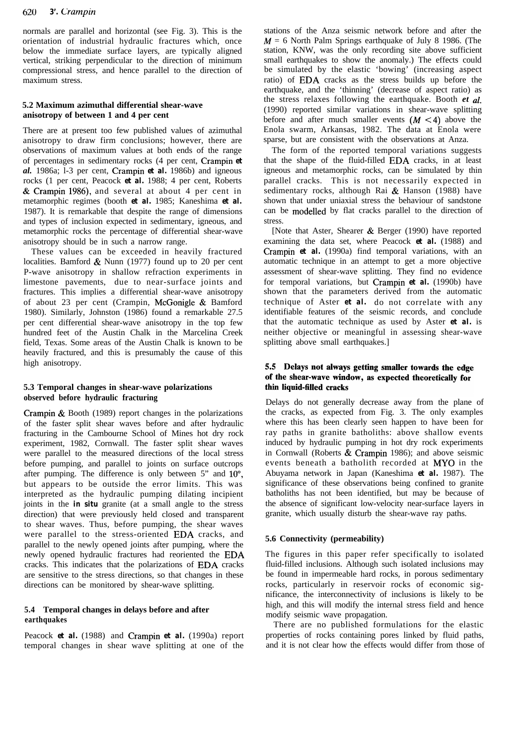#### 620 *3'. Crampin*

normals are parallel and horizontal (see Fig. 3). This is the orientation of industrial hydraulic fractures which, once below the immediate surface layers, are typically aligned vertical, striking perpendicular to the direction of minimum compressional stress, and hence parallel to the direction of maximum stress.

# **5.2 Maximum azimuthal differential shear-wave anisotropy of between 1 and 4 per cent**

There are at present too few published values of azimuthal anisotropy to draw firm conclusions; however, there are observations of maximum values at both ends of the range of percentages in sedimentary rocks (4 per cent, Crampin *et al.* 1986a; l-3 per cent, Crampin *et al.* 1986b) and igneous rocks (1 per cent, Peacock *et al.* 1988; 4 per cent, Roberts & Crampin 1986), and several at about 4 per cent in metamorphic regimes (booth *et al.* 1985; Kaneshima *et al.* 1987). It is remarkable that despite the range of dimensions and types of inclusion expected in sedimentary, igneous, and metamorphic rocks the percentage of differential shear-wave anisotropy should be in such a narrow range.

These values can be exceeded in heavily fractured localities. Bamford & Nunn (1977) found up to 20 per cent P-wave anisotropy in shallow refraction experiments in limestone pavements, due to near-surface joints and fractures. This implies a differential shear-wave anisotropy of about 23 per cent (Crampin, McGonigle & Bamford 1980). Similarly, Johnston (1986) found a remarkable 27.5 per cent differential shear-wave anisotropy in the top few hundred feet of the Austin Chalk in the Marcelina Creek field, Texas. Some areas of the Austin Chalk is known to be heavily fractured, and this is presumably the cause of this high anisotropy.

# **5.3 Temporal changes in shear-wave polarizations observed before hydraulic fracturing**

Crampin & Booth (1989) report changes in the polarizations of the faster split shear waves before and after hydraulic fracturing in the Cambourne School of Mines hot dry rock experiment, 1982, Cornwall. The faster split shear waves were parallel to the measured directions of the local stress before pumping, and parallel to joints on surface outcrops after pumping. The difference is only between  $5$ " and  $10^{\circ}$ , but appears to be outside the error limits. This was interpreted as the hydraulic pumping dilating incipient joints in the *in situ* granite (at a small angle to the stress direction) that were previously held closed and transparent to shear waves. Thus, before pumping, the shear waves were parallel to the stress-oriented EDA cracks, and parallel to the newly opened joints after pumping, where the newly opened hydraulic fractures had reoriented the EDA cracks. This indicates that the polarizations of EDA cracks are sensitive to the stress directions, so that changes in these directions can be monitored by shear-wave splitting.

# **5.4 Temporal changes in delays before and after earthquakes**

Peacock *et al.* (1988) and Crampin *et al.* (1990a) report temporal changes in shear wave splitting at one of the

stations of the Anza seismic network before and after the  $M = 6$  North Palm Springs earthquake of July 8 1986. (The station, KNW, was the only recording site above sufficient small earthquakes to show the anomaly.) The effects could be simulated by the elastic 'bowing' (increasing aspect ratio) of EDA cracks as the stress builds up before the earthquake, and the 'thinning' (decrease of aspect ratio) as the stress relaxes following the earthquake. Booth *et al.* (1990) reported similar variations in shear-wave splitting before and after much smaller events  $(M < 4)$  above the Enola swarm, Arkansas, 1982. The data at Enola were sparse, but are consistent with the observations at Anza.

The form of the reported temporal variations suggests that the shape of the fluid-filled EDA cracks, in at least igneous and metamorphic rocks, can be simulated by thin parallel cracks. This is not necessarily expected in sedimentary rocks, although Rai & Hanson (1988) have shown that under uniaxial stress the behaviour of sandstone can be modelled by flat cracks parallel to the direction of stress.

[Note that Aster, Shearer  $\&$  Berger (1990) have reported examining the data set, where Peacock *et al.* (1988) and Crampin *et al.* (1990a) find temporal variations, with an automatic technique in an attempt to get a more objective assessment of shear-wave splitting. They find no evidence for temporal variations, but Crampin *et al.* (1990b) have shown that the parameters derived from the automatic technique of Aster *et al.* do not correlate with any identifiable features of the seismic records, and conclude that the automatic technique as used by Aster *et al.* is neither objective or meaningful in assessing shear-wave splitting above small earthquakes.]

# 5.5 Delays not always getting smaller towards the edge of the shear-wave window, as expected theoretically for thin liquid-filled cracks

Delays do not generally decrease away from the plane of the cracks, as expected from Fig. 3. The only examples where this has been clearly seen happen to have been for ray paths in granite batholiths: above shallow events induced by hydraulic pumping in hot dry rock experiments in Cornwall (Roberts & Crampin 1986); and above seismic events beneath a batholith recorded at MY0 in the Abuyama network in Japan (Kaneshima *et al.* 1987). The significance of these observations being confined to granite batholiths has not been identified, but may be because of the absence of significant low-velocity near-surface layers in granite, which usually disturb the shear-wave ray paths.

#### **5.6 Connectivity (permeability)**

The figures in this paper refer specifically to isolated fluid-filled inclusions. Although such isolated inclusions may be found in impermeable hard rocks, in porous sedimentary rocks, particularly in reservoir rocks of economic significance, the interconnectivity of inclusions is likely to be high, and this will modify the internal stress field and hence modify seismic wave propagation.

There are no published formulations for the elastic properties of rocks containing pores linked by fluid paths, and it is not clear how the effects would differ from those of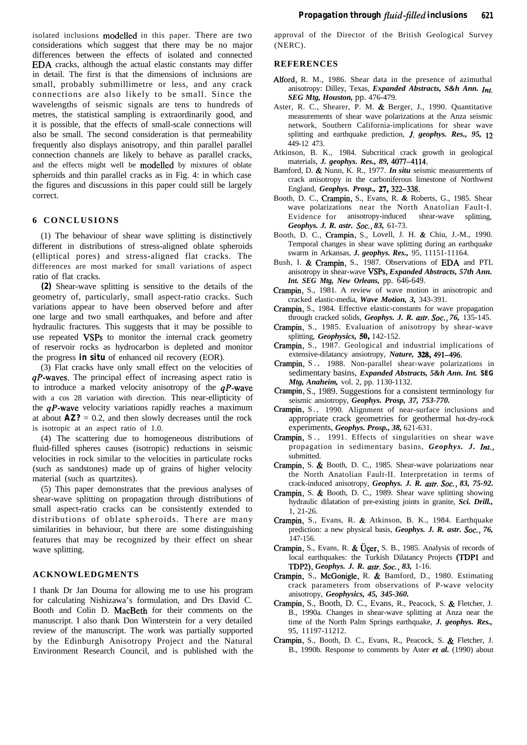isolated inclusions modelled in this paper. There are two considerations which suggest that there may be no major differences between the effects of isolated and connected EDA cracks, although the actual elastic constants may differ in detail. The first is that the dimensions of inclusions are small, probably submillimetre or less, and any crack connections are also likely to be small. Since the wavelengths of seismic signals are tens to hundreds of metres, the statistical sampling is extraordinarily good, and it is possible, that the effects of small-scale connections will also be small. The second consideration is that permeability frequently also displays anisotropy, and thin parallel parallel connection channels are likely to behave as parallel cracks, and the effects might well be modelled by mixtures of oblate spheroids and thin parallel cracks as in Fig. 4: in which case the figures and discussions in this paper could still be largely correct.

#### **6 CONCLUSIONS**

(1) The behaviour of shear wave splitting is distinctively different in distributions of stress-aligned oblate spheroids (elliptical pores) and stress-aligned flat cracks. The differences are most marked for small variations of aspect ratio of flat cracks.

*(2)* Shear-wave splitting is sensitive to the details of the geometry of, particularly, small aspect-ratio cracks. Such variations appear to have been observed before and after one large and two small earthquakes, and before and after hydraulic fractures. This suggests that it may be possible to use repeated VSPs to monitor the internal crack geometry of reservoir rocks as hydrocarbon is depleted and monitor the progress *in situ* of enhanced oil recovery (EOR).

(3) Flat cracks have only small effect on the velocities of  $qP$ -waves. The principal effect of increasing aspect ratio is to introduce a marked velocity anisotropy of the  $qP$ -wave with a cos 28 variation with direction. This near-ellipticity of the  $qP$ -wave velocity variations rapidly reaches a maximum at about  $\mathbf{AZ?} = 0.2$ , and then slowly decreases until the rock is isotropic at an aspect ratio of 1.0.

(4) The scattering due to homogeneous distributions of fluid-filled spheres causes (isotropic) reductions in seismic velocities in rock similar to the velocities in particulate rocks (such as sandstones) made up of grains of higher velocity material (such as quartzites).

(5) This paper demonstrates that the previous analyses of shear-wave splitting on propagation through distributions of small aspect-ratio cracks can be consistently extended to distributions of oblate spheroids. There are many similarities in behaviour, but there are some distinguishing features that may be recognized by their effect on shear wave splitting.

#### **ACKNOWLEDGMENTS**

I thank Dr Jan Douma for allowing me to use his program for calculating Nishizawa's formulation, and Drs David C. Booth and Colin D. MacBeth for their comments on the manuscript. I also thank Don Winterstein for a very detailed review of the manuscript. The work was partially supported by the Edinburgh Anisotropy Project and the Natural Environment Research Council, and is published with the approval of the Director of the British Geological Survey (NERC).

#### **REFERENCES**

- Alford, R. M., 1986. Shear data in the presence of azimuthal anisotropy: Dilley, Texas, *Expanded Abstracts, S&h Ann. Int. SEG Mtg, Houston,* pp. 476-479.
- Aster, R. C., Shearer, P. M. & Berger, J., 1990. Quantitative measurements of shear wave polarizations at the Anza seismic network, Southern California-implications for shear wave splitting and earthquake prediction, *J. geophys. Res., 95, 12* 449-12 473.
- Atkinson, B. K., 1984. Subcritical crack growth in geological materials, *J. geophys. Res., 89,* 4077-4114.
- Bamford, D. & Nunn, K. R., 1977. *In situ* seismic measurements of crack anisotropy in the carboniferous limestone of Northwest England, *Geophys. Prosp., 27,322-338.*
- Booth, D. C., Crampin, S., Evans, R. & Roberts, G., 1985. Shear wave polarizations near the North Anatolian Fault-I. Evidence for anisotropy-induced shear-wave splitting, *Geophys. J. R. astr. Sot., 83,* 61-73.
- Booth, D. C., Crampin, S., Lovell, J. H. & Chiu, J.-M., 1990. Temporal changes in shear wave splitting during an earthquake swarm in Arkansas, *J. geophys. Res.,* 95, 11151-11164.
- Bush, I. & Crampin, S., 1987. Observations of EDA and PTL anisotropy in shear-wave VSPs, *Expanded Abstracts, 57th Ann. Int. SEG Mtg, New Orleans,* pp. 646-649.
- Crampin, S., 1981. A review of wave motion in anisotropic and cracked elastic-media, *Wave Motion, 3,* 343-391.
- Crampin, S., 1984. Effective elastic-constants for wave propagation through cracked solids, *Geophys. J. R. astr. Sot., 76,* 135-145.
- Crampin, S., 1985. Evaluation of anisotropy by shear-wave splitting, *Geophysics, 50,* 142-152.
- Crampin, S., 1987. Geological and industrial implications of extensive-dilatancy ansiotropy, *Nature, 328,491-496.*
- Crampin, S., 1988. Non-parallel shear-wave polarizations in sedimentary basins, *Expanded Abstracts, 5&h Ann. Int. SEG Mtg, Anaheim,* vol. 2, pp. 1130-1132.
- Crampin, S., 1989. Suggestions for a consistent terminology for seismic ansiotropy, *Geophys. Prosp, 37, 753-770.*
- Crampin, S., 1990. Alignment of near-surface inclusions and appropriate crack geometries for geothermal hot-dry-rock experiments, *Geophys. Prosp., 38,* 621-631.
- Crampin, S., 1991. Effects of singularities on shear wave propagation in sedimentary basins, *Geophys. J. Int.*, submitted.
- Crampin, S. & Booth, D. C., 1985. Shear-wave polarizations near the North Anatolian Fault-II. Interpretation in terms of crack-induced anisotropy, *Geophys. J. R. astr. Sot., 83, 75-92.*
- Crampin, S. & Booth, D. C., 1989. Shear wave splitting showing hydraulic dilatation of pre-existing joints in granite, *Sci. Drill.,* 1, 21-26.
- Crampin, S., Evans, R. & Atkinson, B. K., 1984. Earthquake prediction: a new physical basis, *Geophys. J. R. astr. Soc.*, 76, 147-156.
- Crampin, S., Evans, R. & Üçer, S. B., 1985. Analysis of records of local earthquakes: the Turkish Dilatancy Projects (TDPl and *TDP2), Geophys. J. R. astr. Sot., 83,* 1-16.
- Crampin, S., McGonigle, R. & Bamford, D., 1980. Estimating crack parameters from observations of P-wave velocity anisotropy, *Geophysics, 45, 345-360.*
- Crampin, S., Booth, D. C., Evans, R., Peacock, S. & Fletcher, J. B., 1990a. Changes in shear-wave splitting at Anza near the time of the North Palm Springs earthquake, *J. geophys. Res.,* 95, 11197-11212.
- Crampin, S., Booth, D. C., Evans, R., Peacock, S. & Fletcher, J. B., 1990b. Response to comments by Aster *et al.* (1990) about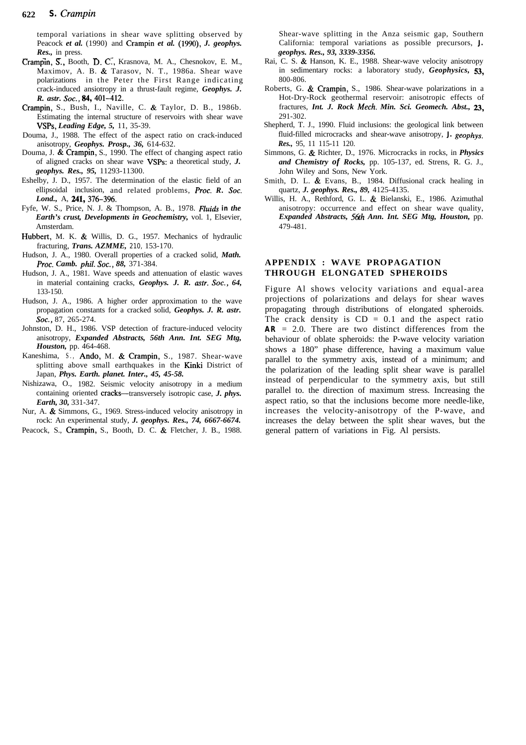temporal variations in shear wave splitting observed by Peacock *et al.* (1990) and Crampin *et al.* (1990), *J. geophys. Res.,* in press.

- Crampin, S., Booth, D. C:, Krasnova, M. A., Chesnokov, E. M., Maximov, A. B. & Tarasov, N. T., 1986a. Shear wave polarizations in the Peter the First Range indicating crack-induced ansiotropy in a thrust-fault regime, *Geophys. J. R. astr. Sot., 84,401-412.*
- Crampin, S., Bush, I., Naville, C. & Taylor, D. B., 1986b. Estimating the internal structure of reservoirs with shear wave VSPs, *Leading Edge, 5,* 11, 35-39.
- Douma, J., 1988. The effect of the aspect ratio on crack-induced anisotropy, *Geophys. Prosp., 36,* 614-632.
- Douma, J. & Crampin, S., 1990. The effect of changing aspect ratio of aligned cracks on shear wave VSPs: a theoretical study, *J. geophys. Res., 95,* 11293-11300.
- Eshelby, J. D., 1957. The determination of the elastic field of an ellipsoidal inclusion, and related problems, *Proc. R. Sot.* Lond., A, 241, 376-396.
- Fyfe, W. S., Price, N. J. & Thompson, A. B., 1978. *Fluiats in the Earth's crust, Developments in Geochemistry,* vol. 1, Elsevier, Amsterdam.
- Hubbert, M. K. & Willis, D. G., 1957. Mechanics of hydraulic fracturing, *Trans. AZMME,* **210,** 153-170.
- Hudson, J. A., 1980. Overall properties of a cracked solid, *Math. Proc. Camb. Phil. Sot., 88,* 371-384.
- Hudson, J. A., 1981. Wave speeds and attenuation of elastic waves in material containing cracks, *Geophys. J. R. astr. Sot., 64,* 133-150.
- Hudson, J. A., 1986. A higher order approximation to the wave propagation constants for a cracked solid, *Geophys. J. R. astr.* Soc., 87, 265-274.
- Johnston, D. H., 1986. VSP detection of fracture-induced velocity anisotropy, *Expanded Abstracts, 56th Ann. Int. SEG Mtg, Houston,* pp. 464-468.
- Kaneshima, S., Ando, M. & Crampin, S., 1987. Shear-wave splitting above small earthquakes in the Kinki District of Japan, *Phys. Earth. planet. Inter., 45, 45-58.*
- Nishizawa, O., 1982. Seismic velocity anisotropy in a medium containing oriented cracks-transversely isotropic case, *J. phys. Earth, 30,* 331-347.
- Nur, A. & Simmons, G., 1969. Stress-induced velocity anisotropy in rock: An experimental study, *J. geophys. Res., 74, 6667-6674.*
- Peacock, S., Crampin, S., Booth, D. C. & Fletcher, J. B., 1988.

Shear-wave splitting in the Anza seismic gap, Southern California: temporal variations as possible precursors, *J. geophys. Res., 93, 3339-3356.*

- Rai, C. S. & Hanson, K. E., 1988. Shear-wave velocity anisotropy in sedimentary rocks: a laboratory study, *Geophysics, 53,* 800-806.
- Roberts, G. & Crampin, S., 1986. Shear-wave polarizations in a Hot-Dry-Rock geothermal reservoir: anisotropic effects of fractures, *Int. J. Rock Mech. Min. Sci. Geomech. Abst., a,* 291-302.
- Shepherd, T. J., 1990. Fluid inclusions: the geological link between fluid-filled microcracks and shear-wave anisotropy, *J. geophys. Res.,* 95, 11 115-11 120.
- Simmons, G. & Richter, D., 1976. Microcracks in rocks, in *Physics and Chemistry of Rocks,* pp. 105-137, ed. Strens, R. G. J., John Wiley and Sons, New York.
- Smith, D. L. & Evans, B., 1984. Diffusional crack healing in quartz, *J. geophys. Res., 89,* 4125-4135.
- Willis, H. A., Rethford, G. L. & Bielanski, E., 1986. Azimuthal anisotropy: occurrence and effect on shear wave quality, *Expanded Abstracts, S&h Ann. Int. SEG Mtg, Houston,* pp. 479-481.

#### **APPENDIX : WAVE PROPAGATION THROUGH ELONGATED SPHEROIDS**

Figure Al shows velocity variations and equal-area projections of polarizations and delays for shear waves propagating through distributions of elongated spheroids. The crack density is  $CD = 0.1$  and the aspect ratio *AR* = 2.0. There are two distinct differences from the behaviour of oblate spheroids: the P-wave velocity variation shows a 180" phase difference, having a maximum value parallel to the symmetry axis, instead of a minimum; and the polarization of the leading split shear wave is parallel instead of perpendicular to the symmetry axis, but still parallel to. the direction of maximum stress. Increasing the aspect ratio, so that the inclusions become more needle-like, increases the velocity-anisotropy of the P-wave, and increases the delay between the split shear waves, but the general pattern of variations in Fig. Al persists.